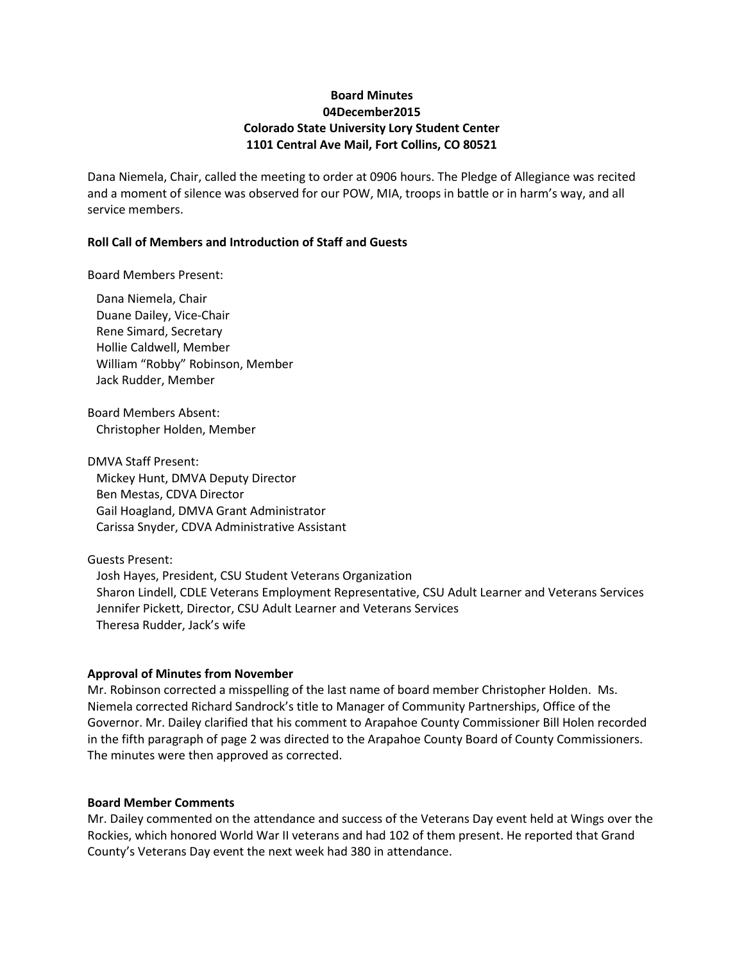# **Board Minutes 04December2015 Colorado State University Lory Student Center 1101 Central Ave Mail, Fort Collins, CO 80521**

Dana Niemela, Chair, called the meeting to order at 0906 hours. The Pledge of Allegiance was recited and a moment of silence was observed for our POW, MIA, troops in battle or in harm's way, and all service members.

### **Roll Call of Members and Introduction of Staff and Guests**

Board Members Present:

Dana Niemela, Chair Duane Dailey, Vice-Chair Rene Simard, Secretary Hollie Caldwell, Member William "Robby" Robinson, Member Jack Rudder, Member

Board Members Absent: Christopher Holden, Member

DMVA Staff Present: Mickey Hunt, DMVA Deputy Director Ben Mestas, CDVA Director Gail Hoagland, DMVA Grant Administrator Carissa Snyder, CDVA Administrative Assistant

Guests Present: Josh Hayes, President, CSU Student Veterans Organization Sharon Lindell, CDLE Veterans Employment Representative, CSU Adult Learner and Veterans Services Jennifer Pickett, Director, CSU Adult Learner and Veterans Services Theresa Rudder, Jack's wife

### **Approval of Minutes from November**

Mr. Robinson corrected a misspelling of the last name of board member Christopher Holden. Ms. Niemela corrected Richard Sandrock's title to Manager of Community Partnerships, Office of the Governor. Mr. Dailey clarified that his comment to Arapahoe County Commissioner Bill Holen recorded in the fifth paragraph of page 2 was directed to the Arapahoe County Board of County Commissioners. The minutes were then approved as corrected.

### **Board Member Comments**

Mr. Dailey commented on the attendance and success of the Veterans Day event held at Wings over the Rockies, which honored World War II veterans and had 102 of them present. He reported that Grand County's Veterans Day event the next week had 380 in attendance.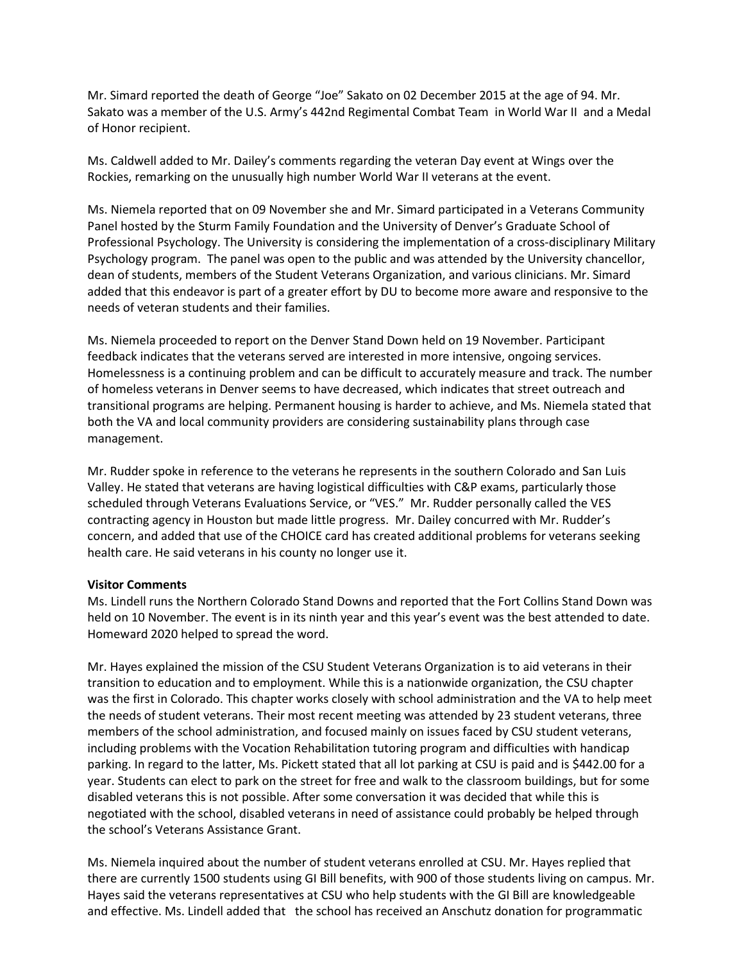Mr. Simard reported the death of George "Joe" Sakato on 02 December 2015 at the age of 94. Mr. Sakato was a member of the U.S. Army's [442nd Regimental Combat Team](https://en.wikipedia.org/wiki/442nd_Regimental_Combat_Team) in [World War II](https://en.wikipedia.org/wiki/World_War_II) and a [Medal](https://en.wikipedia.org/wiki/Medal_of_Honor)  [of Honor](https://en.wikipedia.org/wiki/Medal_of_Honor) recipient.

Ms. Caldwell added to Mr. Dailey's comments regarding the veteran Day event at Wings over the Rockies, remarking on the unusually high number World War II veterans at the event.

Ms. Niemela reported that on 09 November she and Mr. Simard participated in a Veterans Community Panel hosted by the Sturm Family Foundation and the University of Denver's Graduate School of Professional Psychology. The University is considering the implementation of a cross-disciplinary Military Psychology program. The panel was open to the public and was attended by the University chancellor, dean of students, members of the Student Veterans Organization, and various clinicians. Mr. Simard added that this endeavor is part of a greater effort by DU to become more aware and responsive to the needs of veteran students and their families.

Ms. Niemela proceeded to report on the Denver Stand Down held on 19 November. Participant feedback indicates that the veterans served are interested in more intensive, ongoing services. Homelessness is a continuing problem and can be difficult to accurately measure and track. The number of homeless veterans in Denver seems to have decreased, which indicates that street outreach and transitional programs are helping. Permanent housing is harder to achieve, and Ms. Niemela stated that both the VA and local community providers are considering sustainability plans through case management.

Mr. Rudder spoke in reference to the veterans he represents in the southern Colorado and San Luis Valley. He stated that veterans are having logistical difficulties with C&P exams, particularly those scheduled through Veterans Evaluations Service, or "VES." Mr. Rudder personally called the VES contracting agency in Houston but made little progress. Mr. Dailey concurred with Mr. Rudder's concern, and added that use of the CHOICE card has created additional problems for veterans seeking health care. He said veterans in his county no longer use it.

### **Visitor Comments**

Ms. Lindell runs the Northern Colorado Stand Downs and reported that the Fort Collins Stand Down was held on 10 November. The event is in its ninth year and this year's event was the best attended to date. Homeward 2020 helped to spread the word.

Mr. Hayes explained the mission of the CSU Student Veterans Organization is to aid veterans in their transition to education and to employment. While this is a nationwide organization, the CSU chapter was the first in Colorado. This chapter works closely with school administration and the VA to help meet the needs of student veterans. Their most recent meeting was attended by 23 student veterans, three members of the school administration, and focused mainly on issues faced by CSU student veterans, including problems with the Vocation Rehabilitation tutoring program and difficulties with handicap parking. In regard to the latter, Ms. Pickett stated that all lot parking at CSU is paid and is \$442.00 for a year. Students can elect to park on the street for free and walk to the classroom buildings, but for some disabled veterans this is not possible. After some conversation it was decided that while this is negotiated with the school, disabled veterans in need of assistance could probably be helped through the school's Veterans Assistance Grant.

Ms. Niemela inquired about the number of student veterans enrolled at CSU. Mr. Hayes replied that there are currently 1500 students using GI Bill benefits, with 900 of those students living on campus. Mr. Hayes said the veterans representatives at CSU who help students with the GI Bill are knowledgeable and effective. Ms. Lindell added that the school has received an Anschutz donation for programmatic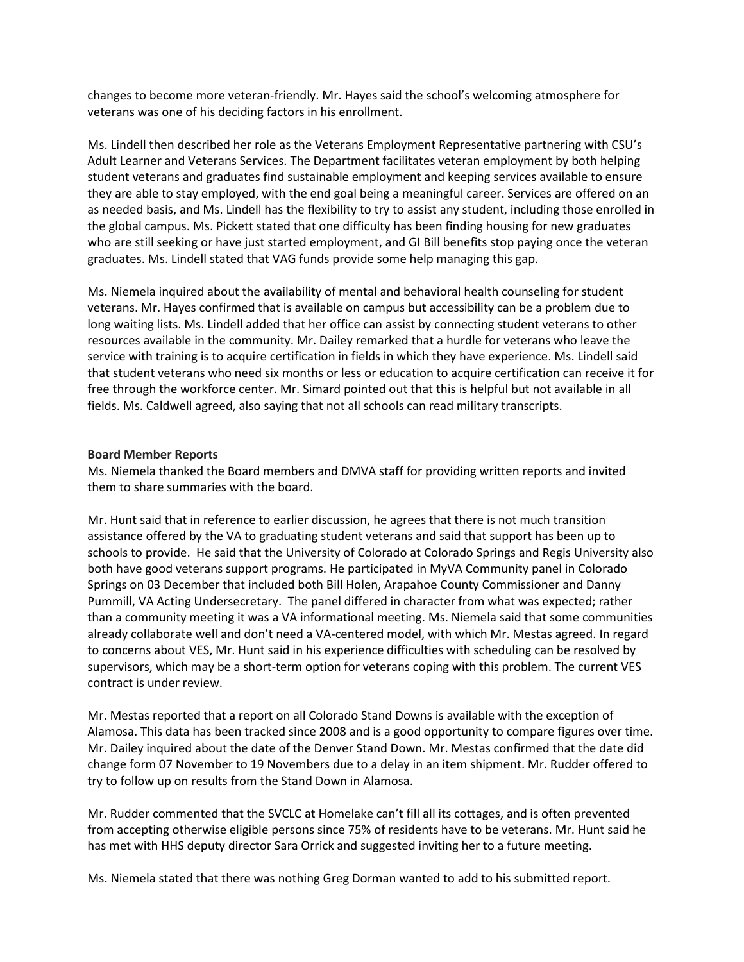changes to become more veteran-friendly. Mr. Hayes said the school's welcoming atmosphere for veterans was one of his deciding factors in his enrollment.

Ms. Lindell then described her role as the Veterans Employment Representative partnering with CSU's Adult Learner and Veterans Services. The Department facilitates veteran employment by both helping student veterans and graduates find sustainable employment and keeping services available to ensure they are able to stay employed, with the end goal being a meaningful career. Services are offered on an as needed basis, and Ms. Lindell has the flexibility to try to assist any student, including those enrolled in the global campus. Ms. Pickett stated that one difficulty has been finding housing for new graduates who are still seeking or have just started employment, and GI Bill benefits stop paying once the veteran graduates. Ms. Lindell stated that VAG funds provide some help managing this gap.

Ms. Niemela inquired about the availability of mental and behavioral health counseling for student veterans. Mr. Hayes confirmed that is available on campus but accessibility can be a problem due to long waiting lists. Ms. Lindell added that her office can assist by connecting student veterans to other resources available in the community. Mr. Dailey remarked that a hurdle for veterans who leave the service with training is to acquire certification in fields in which they have experience. Ms. Lindell said that student veterans who need six months or less or education to acquire certification can receive it for free through the workforce center. Mr. Simard pointed out that this is helpful but not available in all fields. Ms. Caldwell agreed, also saying that not all schools can read military transcripts.

### **Board Member Reports**

Ms. Niemela thanked the Board members and DMVA staff for providing written reports and invited them to share summaries with the board.

Mr. Hunt said that in reference to earlier discussion, he agrees that there is not much transition assistance offered by the VA to graduating student veterans and said that support has been up to schools to provide. He said that the University of Colorado at Colorado Springs and Regis University also both have good veterans support programs. He participated in MyVA Community panel in Colorado Springs on 03 December that included both Bill Holen, Arapahoe County Commissioner and Danny Pummill, VA Acting Undersecretary. The panel differed in character from what was expected; rather than a community meeting it was a VA informational meeting. Ms. Niemela said that some communities already collaborate well and don't need a VA-centered model, with which Mr. Mestas agreed. In regard to concerns about VES, Mr. Hunt said in his experience difficulties with scheduling can be resolved by supervisors, which may be a short-term option for veterans coping with this problem. The current VES contract is under review.

Mr. Mestas reported that a report on all Colorado Stand Downs is available with the exception of Alamosa. This data has been tracked since 2008 and is a good opportunity to compare figures over time. Mr. Dailey inquired about the date of the Denver Stand Down. Mr. Mestas confirmed that the date did change form 07 November to 19 Novembers due to a delay in an item shipment. Mr. Rudder offered to try to follow up on results from the Stand Down in Alamosa.

Mr. Rudder commented that the SVCLC at Homelake can't fill all its cottages, and is often prevented from accepting otherwise eligible persons since 75% of residents have to be veterans. Mr. Hunt said he has met with HHS deputy director Sara Orrick and suggested inviting her to a future meeting.

Ms. Niemela stated that there was nothing Greg Dorman wanted to add to his submitted report.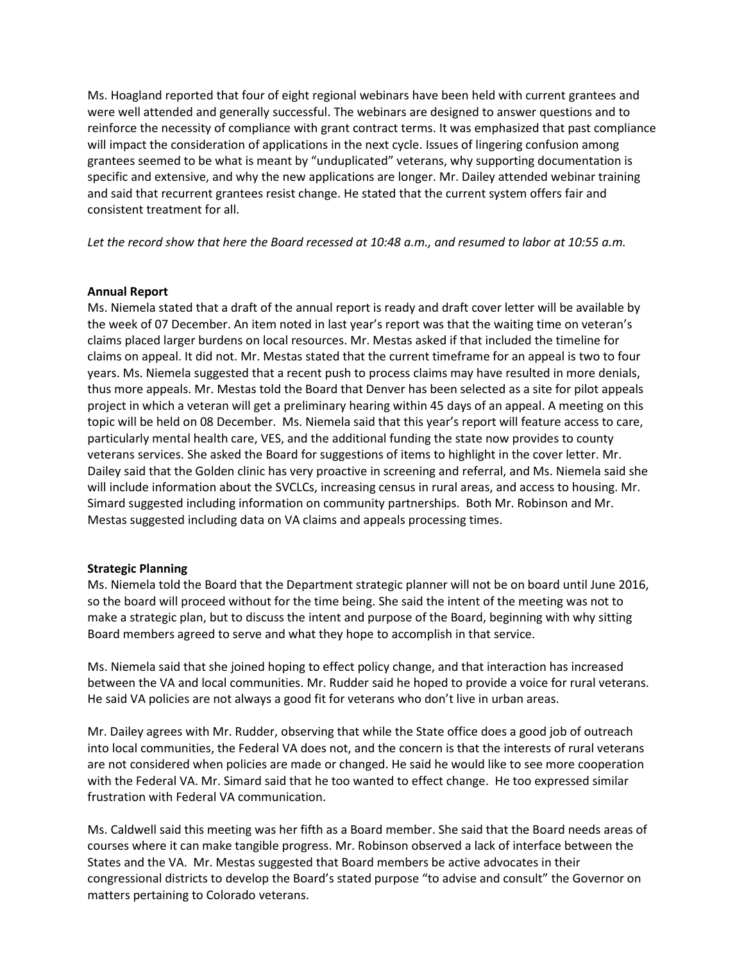Ms. Hoagland reported that four of eight regional webinars have been held with current grantees and were well attended and generally successful. The webinars are designed to answer questions and to reinforce the necessity of compliance with grant contract terms. It was emphasized that past compliance will impact the consideration of applications in the next cycle. Issues of lingering confusion among grantees seemed to be what is meant by "unduplicated" veterans, why supporting documentation is specific and extensive, and why the new applications are longer. Mr. Dailey attended webinar training and said that recurrent grantees resist change. He stated that the current system offers fair and consistent treatment for all.

*Let the record show that here the Board recessed at 10:48 a.m., and resumed to labor at 10:55 a.m.*

### **Annual Report**

Ms. Niemela stated that a draft of the annual report is ready and draft cover letter will be available by the week of 07 December. An item noted in last year's report was that the waiting time on veteran's claims placed larger burdens on local resources. Mr. Mestas asked if that included the timeline for claims on appeal. It did not. Mr. Mestas stated that the current timeframe for an appeal is two to four years. Ms. Niemela suggested that a recent push to process claims may have resulted in more denials, thus more appeals. Mr. Mestas told the Board that Denver has been selected as a site for pilot appeals project in which a veteran will get a preliminary hearing within 45 days of an appeal. A meeting on this topic will be held on 08 December. Ms. Niemela said that this year's report will feature access to care, particularly mental health care, VES, and the additional funding the state now provides to county veterans services. She asked the Board for suggestions of items to highlight in the cover letter. Mr. Dailey said that the Golden clinic has very proactive in screening and referral, and Ms. Niemela said she will include information about the SVCLCs, increasing census in rural areas, and access to housing. Mr. Simard suggested including information on community partnerships. Both Mr. Robinson and Mr. Mestas suggested including data on VA claims and appeals processing times.

## **Strategic Planning**

Ms. Niemela told the Board that the Department strategic planner will not be on board until June 2016, so the board will proceed without for the time being. She said the intent of the meeting was not to make a strategic plan, but to discuss the intent and purpose of the Board, beginning with why sitting Board members agreed to serve and what they hope to accomplish in that service.

Ms. Niemela said that she joined hoping to effect policy change, and that interaction has increased between the VA and local communities. Mr. Rudder said he hoped to provide a voice for rural veterans. He said VA policies are not always a good fit for veterans who don't live in urban areas.

Mr. Dailey agrees with Mr. Rudder, observing that while the State office does a good job of outreach into local communities, the Federal VA does not, and the concern is that the interests of rural veterans are not considered when policies are made or changed. He said he would like to see more cooperation with the Federal VA. Mr. Simard said that he too wanted to effect change. He too expressed similar frustration with Federal VA communication.

Ms. Caldwell said this meeting was her fifth as a Board member. She said that the Board needs areas of courses where it can make tangible progress. Mr. Robinson observed a lack of interface between the States and the VA. Mr. Mestas suggested that Board members be active advocates in their congressional districts to develop the Board's stated purpose "to advise and consult" the Governor on matters pertaining to Colorado veterans.